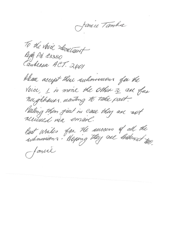Jamie Tamba

To the voice Secretainst Reph Pd. 83380<br>Candensa ACT. 2601

Please accept these submissions for the Vaice, I is more the other z are far nerghhauss manting to take part. Pesting them first in case they are not Best Wiskes for the ancoens of all the famil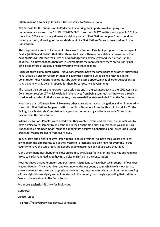Submission on a co-design for a First Nations Voice to Parliamentmun

My purpose for this submission to Parliament is to bring the importance of adopting the recommendations from the "ULURU STATEMENT from the HEART", written and signed in 2017 by more than 250 clans of many diverse aboriginal groups of First Nations peoples from around the country in Uluru, all calling for the establishment of a First Nations' Voice to be enshrined in the Constitution

The purpose of a Voice to Parliament is to allow First Nations Peoples input prior to the passage of new legislation and policies that affect them. As it is now there is no stability or reassurance that new policies will improve their lives or acknowledge their sovereignty and special status in this country. The move changes there are in Governments the more changes there are to Aboriginal policies no offers of stability or security come with these changes

Reassurance will only come when First Nations Peoples have the same rights as all other Australians have, that is a Voice to Parliament that will eventually lead to a Voice being enshrined in the Constitution. First Nations Peoples must be given the same opportunity as all other Australians, to have a say in what is being proposed for them by consecutive governments

The reason their voices are not taken seriously now and in the past goes back to the 1901 Australian Constitution section 127 which excluded "the natives from being counted"- as they were already considered outsiders in their own country., they were deliberately excluded from the Constitution

Now more than 100 years later, I like many other Australians have an obligation and am honoured to stand with First Nations Peoples to affirm the Uluru Statement from the Heart, in its call for Truth-Telling, for a Makarrata Commission to supervise treaty-making and for a National Voice to be enshrined in the Constitution.

When First Nations Peoples were asked what they wanted by the next election, the answer was to have a Voice to Parliament to be enshrined in the Constitution after a referendum was held. This National Voice member model must be a model that ensures all Aboriginal and Torres Strait Island grass root Voices are heard from every level.

In 2021 let's put it right and give First Nations Peoples a "fair go" to have their voices heard by giving them the opportunity to put their Voice to Parliament, it is only right for everyone in this country to have the same right, Indigenous people more than any of us desire that right.

Our Government must honour its election promise by at least firstly granting First Nations People a Voice to Parliament leading to having a Voice enshrined in the constitution

Now let's have that Referendum and put it to all Australians to have their say in support of our First Nations Peoples. They have given and continue to give our country so much. Now it is our turn to show how much we value and appreciate them as they deserve so much more of our understanding of their rightful sovereignty and unique status.in this country by strongly supporting their call for a Voice to be enshrined in the Constitution.

**No more exclusion it time for inclusion.** 

Supporter

Janice Tamba

To : http://haveyoursay.niaa.gov.au/submission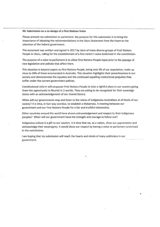## **RE: Submission on a co-design of a First Nations Voice**

Please present my submission to parliament. My purpose for this submission is to bring the importance of adopting the recommendations in the Uluru Statement from the Heart to the attention of the federal government.

The statement was written and signed in 2017 by clans of many diverse groups of First Nations People in Uluru, calling for the establishment of a first nation's voice enshrined in the constitution.

The purpose of a voice to parliament is to allow First Nations People input prior to the passage of new legislation and policies that affect them.

This situation is beyond urgent as First Nations People, being only 3% of our population, make up close to 30% of those incarcerated in Australia. This situation highlights their powerlessness in our society and demonstrates the injustice and the continued appalling institutional prejudice they suffer under the current government policies.

Constitutional reform will empower First Nations People to take a rightful place in our country giving them the opportunity to flourish in 2 worlds. They are asking to be recognised for their sovereign status with an acknowledgement of our shared history.

When will our governments stop and listen to the voices of Indigenous Australians at all levels of our society? It is time, in fact way overdue, to establish a Makarrata. A meeting between our government and dur First Nations People for a fair and truthful relationship.

Other countries around the world have shown acknowledgement and respect to their indigenous peoples? When will our government have the strength and courage to follow suit?

Indigenous culture is a gift to our country. It is time that we, as a nation, show our appreciation and acknowledge their sovereignty. It would show our respect by having a voice to parliament enshrined in the constitution.

 $\lambda$ 

I am hoping that my submission will reach the hearts and minds of many politicians in our government.